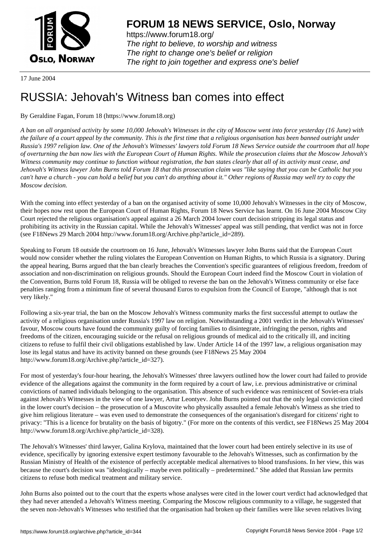

https://www.forum18.org/ The right to believe, to worship and witness The right to change one's belief or religion [The right to join together a](https://www.forum18.org/)nd express one's belief

17 June 2004

## [RUSSIA: Jehov](https://www.forum18.org)ah's Witness ban comes into effect

## By Geraldine Fagan, Forum 18 (https://www.forum18.org)

*A ban on all organised activity by some 10,000 Jehovah's Witnesses in the city of Moscow went into force yesterday (16 June) with the failure of a court appeal by the community. This is the first time that a religious organisation has been banned outright under Russia's 1997 religion law. One of the Jehovah's Witnesses' lawyers told Forum 18 News Service outside the courtroom that all hope of overturning the ban now lies with the European Court of Human Rights. While the prosecution claims that the Moscow Jehovah's Witness community may continue to function without registration, the ban states clearly that all of its activity must cease, and Jehovah's Witness lawyer John Burns told Forum 18 that this prosecution claim was "like saying that you can be Catholic but you can't have a church - you can hold a belief but you can't do anything about it." Other regions of Russia may well try to copy the Moscow decision.*

With the coming into effect yesterday of a ban on the organised activity of some 10,000 Jehovah's Witnesses in the city of Moscow, their hopes now rest upon the European Court of Human Rights, Forum 18 News Service has learnt. On 16 June 2004 Moscow City Court rejected the religious organisation's appeal against a 26 March 2004 lower court decision stripping its legal status and prohibiting its activity in the Russian capital. While the Jehovah's Witnesses' appeal was still pending, that verdict was not in force (see F18News 29 March 2004 http://www.forum18.org/Archive.php?article\_id=289).

Speaking to Forum 18 outside the courtroom on 16 June, Jehovah's Witnesses lawyer John Burns said that the European Court would now consider whether the ruling violates the European Convention on Human Rights, to which Russia is a signatory. During the appeal hearing, Burns argued that the ban clearly breaches the Convention's specific guarantees of religious freedom, freedom of association and non-discrimination on religious grounds. Should the European Court indeed find the Moscow Court in violation of the Convention, Burns told Forum 18, Russia will be obliged to reverse the ban on the Jehovah's Witness community or else face penalties ranging from a minimum fine of several thousand Euros to expulsion from the Council of Europe, "although that is not very likely."

Following a six-year trial, the ban on the Moscow Jehovah's Witness community marks the first successful attempt to outlaw the activity of a religious organisation under Russia's 1997 law on religion. Notwithstanding a 2001 verdict in the Jehovah's Witnesses' favour, Moscow courts have found the community guilty of forcing families to disintegrate, infringing the person, rights and freedoms of the citizen, encouraging suicide or the refusal on religious grounds of medical aid to the critically ill, and inciting citizens to refuse to fulfil their civil obligations established by law. Under Article 14 of the 1997 law, a religious organisation may lose its legal status and have its activity banned on these grounds (see F18News 25 May 2004 http://www.forum18.org/Archive.php?article\_id=327).

For most of yesterday's four-hour hearing, the Jehovah's Witnesses' three lawyers outlined how the lower court had failed to provide evidence of the allegations against the community in the form required by a court of law, i.e. previous administrative or criminal convictions of named individuals belonging to the organisation. This absence of such evidence was reminiscent of Soviet-era trials against Jehovah's Witnesses in the view of one lawyer, Artur Leontyev. John Burns pointed out that the only legal conviction cited in the lower court's decision – the prosecution of a Muscovite who physically assaulted a female Jehovah's Witness as she tried to give him religious literature – was even used to demonstrate the consequences of the organisation's disregard for citizens' right to privacy: "This is a licence for brutality on the basis of bigotry." (For more on the contents of this verdict, see F18News 25 May 2004 http://www.forum18.org/Archive.php?article\_id=328).

The Jehovah's Witnesses' third lawyer, Galina Krylova, maintained that the lower court had been entirely selective in its use of evidence, specifically by ignoring extensive expert testimony favourable to the Jehovah's Witnesses, such as confirmation by the Russian Ministry of Health of the existence of perfectly acceptable medical alternatives to blood transfusions. In her view, this was because the court's decision was "ideologically – maybe even politically – predetermined." She added that Russian law permits citizens to refuse both medical treatment and military service.

John Burns also pointed out to the court that the experts whose analyses were cited in the lower court verdict had acknowledged that they had never attended a Jehovah's Witness meeting. Comparing the Moscow religious community to a village, he suggested that the seven non-Jehovah's Witnesses who testified that the organisation had broken up their families were like seven relatives living